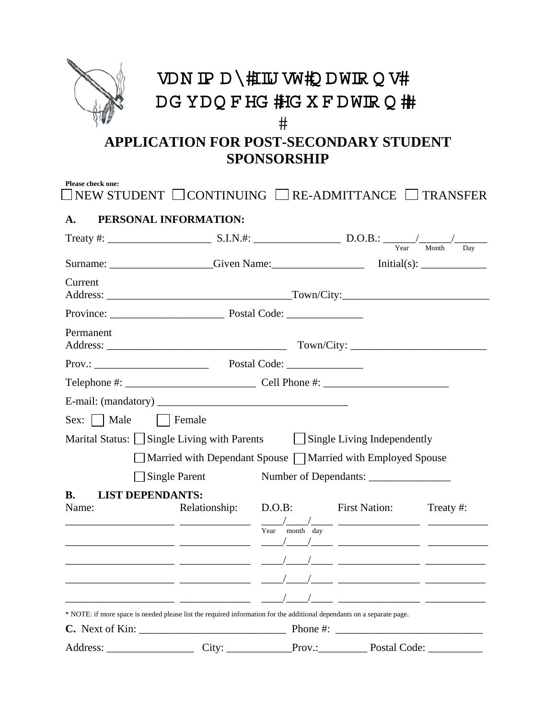

**SPONSORSHIP** 

| A.                                                                                                                     | PERSONAL INFORMATION:                                                    |                                                                                                                   |           |
|------------------------------------------------------------------------------------------------------------------------|--------------------------------------------------------------------------|-------------------------------------------------------------------------------------------------------------------|-----------|
|                                                                                                                        |                                                                          |                                                                                                                   |           |
|                                                                                                                        |                                                                          |                                                                                                                   |           |
| Current                                                                                                                |                                                                          |                                                                                                                   |           |
|                                                                                                                        |                                                                          |                                                                                                                   |           |
| Permanent                                                                                                              |                                                                          |                                                                                                                   |           |
|                                                                                                                        |                                                                          |                                                                                                                   |           |
| Telephone #: $\frac{1}{2}$ Cell Phone #: $\frac{1}{2}$ Cell Phone #:                                                   |                                                                          |                                                                                                                   |           |
|                                                                                                                        |                                                                          |                                                                                                                   |           |
| $Sex:$ Male                                                                                                            | Female                                                                   |                                                                                                                   |           |
| Marital Status: Single Living with Parents Single Living Independently                                                 |                                                                          |                                                                                                                   |           |
|                                                                                                                        | $\Box$ Married with Dependant Spouse $\Box$ Married with Employed Spouse |                                                                                                                   |           |
|                                                                                                                        | <b>Single Parent</b>                                                     |                                                                                                                   |           |
| <b>B.</b><br><b>LIST DEPENDANTS:</b>                                                                                   |                                                                          |                                                                                                                   |           |
| Name:                                                                                                                  |                                                                          | Relationship: D.O.B: First Nation:<br>$\frac{1}{\text{Year}}$ month $\frac{1}{\text{day}}$ $\frac{1}{\text{day}}$ | Treaty #: |
| * NOTE: if more space is needed please list the required information for the additional dependants on a separate page. |                                                                          |                                                                                                                   |           |
|                                                                                                                        |                                                                          |                                                                                                                   |           |
| Address:                                                                                                               | $\overline{\phantom{a}}$ City:                                           | Prov.: Prov Postal Code:                                                                                          |           |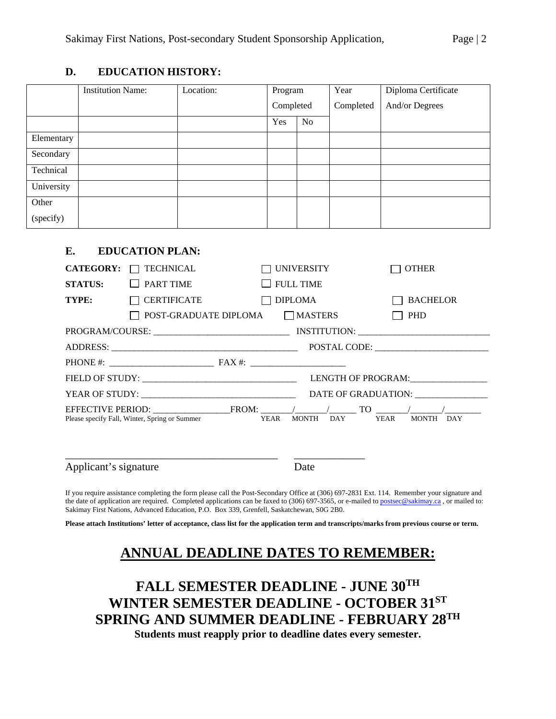## **D. EDUCATION HISTORY:**

|            | <b>Institution Name:</b> | Location: | Program   |    | Year      | Diploma Certificate |  |
|------------|--------------------------|-----------|-----------|----|-----------|---------------------|--|
|            |                          |           | Completed |    | Completed | And/or Degrees      |  |
|            |                          |           | Yes       | No |           |                     |  |
| Elementary |                          |           |           |    |           |                     |  |
| Secondary  |                          |           |           |    |           |                     |  |
| Technical  |                          |           |           |    |           |                     |  |
| University |                          |           |           |    |           |                     |  |
| Other      |                          |           |           |    |           |                     |  |
| (specify)  |                          |           |           |    |           |                     |  |

## **E. EDUCATION PLAN:**

| <b>CATEGORY:</b>      | <b>TECHNICAL</b>                                   | UNIVERSITY                      |                  | <b>OTHER</b>                                                          |
|-----------------------|----------------------------------------------------|---------------------------------|------------------|-----------------------------------------------------------------------|
| <b>STATUS:</b>        | <b>PART TIME</b>                                   |                                 | $\Box$ FULL TIME |                                                                       |
| TYPE:                 | <b>CERTIFICATE</b>                                 |                                 | <b>DIPLOMA</b>   | <b>BACHELOR</b>                                                       |
|                       |                                                    | POST-GRADUATE DIPLOMA □ MASTERS |                  | <b>PHD</b>                                                            |
|                       |                                                    |                                 |                  |                                                                       |
|                       |                                                    |                                 |                  |                                                                       |
|                       | PHONE #: $\frac{1}{2}$ FAX #: $\frac{1}{2}$ FAX #: |                                 |                  |                                                                       |
|                       |                                                    |                                 |                  | LENGTH OF PROGRAM:                                                    |
|                       |                                                    |                                 |                  | DATE OF GRADUATION: _______________                                   |
|                       | Please specify Fall, Winter, Spring or Summer      | YEAR                            | MONTH DAY        | EFFECTIVE PERIOD: FROM: $\sqrt{2}$ TO $\sqrt{2}$<br>YEAR<br>MONTH DAY |
| Applicant's signature |                                                    |                                 | Date             |                                                                       |

If you require assistance completing the form please call the Post-Secondary Office at (306) 697-2831 Ext. 114. Remember your signature and the date of application are required. Completed applications can be faxed to (306) 697-3565, or e-mailed to postsec@sakimay.ca, or mailed to: Sakimay First Nations, Advanced Education, P.O. Box 339, Grenfell, Saskatchewan, S0G 2B0.

**Please attach Institutions' letter of acceptance, class list for the application term and transcripts/marks from previous course or term.** 

## **ANNUAL DEADLINE DATES TO REMEMBER:**

## **FALL SEMESTER DEADLINE - JUNE 30TH WINTER SEMESTER DEADLINE - OCTOBER 31ST SPRING AND SUMMER DEADLINE - FEBRUARY 28TH Students must reapply prior to deadline dates every semester.**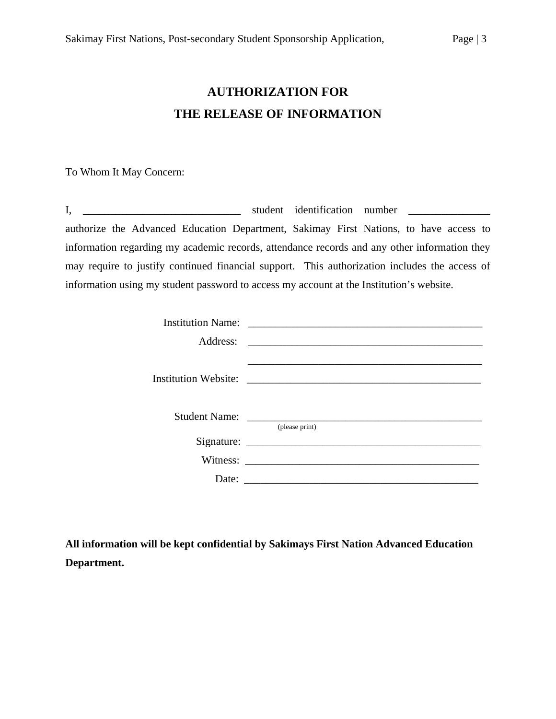# **AUTHORIZATION FOR THE RELEASE OF INFORMATION**

To Whom It May Concern:

|                                                                                               | student identification number |  |  |  |
|-----------------------------------------------------------------------------------------------|-------------------------------|--|--|--|
| authorize the Advanced Education Department, Sakimay First Nations, to have access to         |                               |  |  |  |
| information regarding my academic records, attendance records and any other information they  |                               |  |  |  |
| may require to justify continued financial support. This authorization includes the access of |                               |  |  |  |
| information using my student password to access my account at the Institution's website.      |                               |  |  |  |

|       | Institution Name: |
|-------|-------------------|
|       |                   |
|       |                   |
|       | (please print)    |
|       |                   |
|       |                   |
| Date: |                   |

**All information will be kept confidential by Sakimays First Nation Advanced Education Department.**